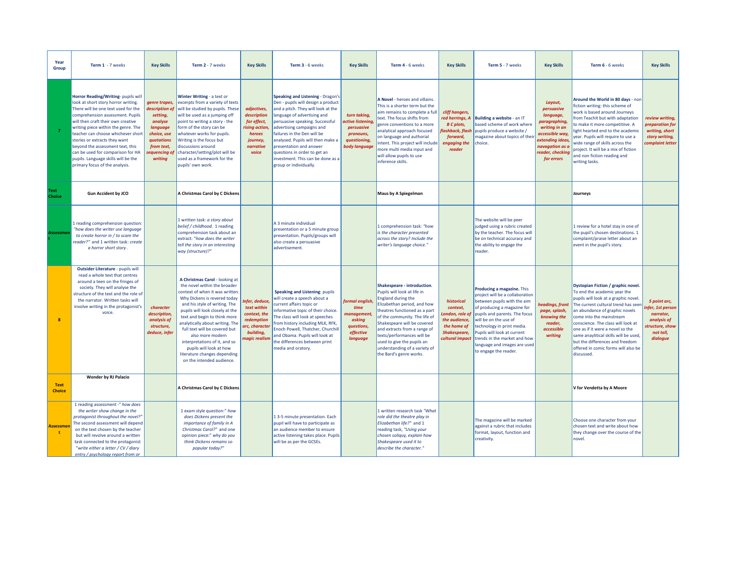| Year<br>Group                   | Term 1 - 7 weeks                                                                                                                                                                                                                                                                                                                                                                                                                                           | <b>Key Skills</b>                                                                                                                         | Term 2 - 7 weeks                                                                                                                                                                                                                                                                                                                                                                                                                                       | <b>Key Skills</b>                                                                                                | Term 3 - 6 weeks                                                                                                                                                                                                                                                                                                                                                                                           | <b>Key Skills</b>                                                                                        | Term 4 - 6 weeks                                                                                                                                                                                                                                                                                                                                                                | <b>Key Skills</b>                                                                                                  | Term 5 - 7 weeks                                                                                                                                                                                                                                                                                                                            | <b>Key Skills</b>                                                                                                                                                | Term 6 - 6 weeks                                                                                                                                                                                                                                                                                                                                                                                                           | <b>Key Skills</b>                                                                                        |
|---------------------------------|------------------------------------------------------------------------------------------------------------------------------------------------------------------------------------------------------------------------------------------------------------------------------------------------------------------------------------------------------------------------------------------------------------------------------------------------------------|-------------------------------------------------------------------------------------------------------------------------------------------|--------------------------------------------------------------------------------------------------------------------------------------------------------------------------------------------------------------------------------------------------------------------------------------------------------------------------------------------------------------------------------------------------------------------------------------------------------|------------------------------------------------------------------------------------------------------------------|------------------------------------------------------------------------------------------------------------------------------------------------------------------------------------------------------------------------------------------------------------------------------------------------------------------------------------------------------------------------------------------------------------|----------------------------------------------------------------------------------------------------------|---------------------------------------------------------------------------------------------------------------------------------------------------------------------------------------------------------------------------------------------------------------------------------------------------------------------------------------------------------------------------------|--------------------------------------------------------------------------------------------------------------------|---------------------------------------------------------------------------------------------------------------------------------------------------------------------------------------------------------------------------------------------------------------------------------------------------------------------------------------------|------------------------------------------------------------------------------------------------------------------------------------------------------------------|----------------------------------------------------------------------------------------------------------------------------------------------------------------------------------------------------------------------------------------------------------------------------------------------------------------------------------------------------------------------------------------------------------------------------|----------------------------------------------------------------------------------------------------------|
| $\overline{7}$                  | Horror Reading/Writing-pupils will<br>look at short story horror writing.<br>There will be one text used for the<br>comprehension assessment. Pupils<br>will then craft their own creative<br>writing piece within the genre. The<br>teacher can choose whichever short<br>stories or extracts they want<br>beyond the assessment text, this<br>can be used for comparison for HA<br>pupils. Language skills will be the<br>primary focus of the analysis. | genre tropes,<br>description of<br>setting,<br>analyse<br>language<br>choice, use<br>quotations<br>from text,<br>sequencing of<br>writing | Winter Writing - a text or<br>excerpts from a variety of texts<br>will be studied by pupils. These<br>will be used as a jumping off<br>point to writing a story - the<br>form of the story can be<br>whatever works for pupils.<br>Writing is the focus but<br>discussions around<br>character/setting/plot will be<br>used as a framework for the<br>pupils' own work.                                                                                | adjectives,<br>description<br>for effect,<br><b>ising</b> action<br>heroes<br>journey,<br>narrative<br>voice     | Speaking and Listening - Dragon's<br>Den - pupils will design a product<br>and a pitch. They will look at the<br>language of advertising and<br>persuasive speaking. Successful<br>advertising campaigns and<br>failures in the Den will be<br>analysed. Pupils will then make a<br>presentation and answer<br>questions in order to get an<br>investment. This can be done as a<br>group or individually. | turn taking<br><b>ctive listening</b><br>persuasive<br>pronouns,<br>questioning,<br><b>body language</b> | A Novel - heroes and villains.<br>This is a shorter term but the<br>aim remains to complete a full<br>text. The focus shifts from<br>genre conventions to a more<br>analytical approach focused<br>on language and authorial<br>ntent. This project will include<br>more multi media input and<br>will allow pupils to use<br>inference skills.                                 | cliff hangers,<br>red herrings, A<br><b>B</b> C plots,<br>lashback, flash<br>forward,<br>engaging the<br>reader    | Building a website - an IT<br>based scheme of work where<br>pupils produce a website /<br>magazine about topics of thei<br>choice.                                                                                                                                                                                                          | Layout,<br>persuasive<br>language,<br>paragraphing,<br>writing in an<br>accessible way,<br>extending ideas,<br>navagation as a<br>reader, checking<br>for errors | Around the World in 80 days - non<br>fiction writing: this scheme of<br>work is based around Journeys<br>rom TeachIt but with adaptation<br>to make it more competitiive. A<br>light hearted end to the academic<br>ear. Pupils will require to use a<br>wide range of skills across the<br>project. It will be a mix of fiction<br>and non fiction reading and<br>writing tasks.                                          | review writing,<br>preparation for<br>writing, short<br>story writing,<br>complaint letter               |
| Text<br>Choice                  | <b>Gun Accident by JCO</b>                                                                                                                                                                                                                                                                                                                                                                                                                                 |                                                                                                                                           | A Christmas Carol by C Dickens                                                                                                                                                                                                                                                                                                                                                                                                                         |                                                                                                                  |                                                                                                                                                                                                                                                                                                                                                                                                            |                                                                                                          | Maus by A Spiegelman                                                                                                                                                                                                                                                                                                                                                            |                                                                                                                    |                                                                                                                                                                                                                                                                                                                                             |                                                                                                                                                                  | Journeys                                                                                                                                                                                                                                                                                                                                                                                                                   |                                                                                                          |
| Assessmei                       | 1 reading comprehension question:<br>"how does the writer use language<br>to create horror in / to scare the<br>reader?" and 1 written task: create<br>a horror short story                                                                                                                                                                                                                                                                                |                                                                                                                                           | 1 written task: a story about<br>belief / childhood. 1 reading<br>comprehension task about an<br>extract: "how does the writer<br>tell the story in an interesting<br>way (structure)?"                                                                                                                                                                                                                                                                |                                                                                                                  | A 3 minute individual<br>presentation or a 5 minute group<br>presentation. Pupils/groups will<br>also create a persuasive<br>advertisement.                                                                                                                                                                                                                                                                |                                                                                                          | 1 comprehension task: "how<br>is the character presented<br>across the story? Include the<br>writer's language choice."                                                                                                                                                                                                                                                         |                                                                                                                    | The website will be peer<br>judged using a rubric created<br>by the teacher. The focus will<br>be on technical accuracy and<br>the ability to engage the<br>reader.                                                                                                                                                                         |                                                                                                                                                                  | 1 review for a hotel stay in one of<br>the pupil's chosen destinations. 1<br>complaint/praise letter about an<br>event in the pupil's story.                                                                                                                                                                                                                                                                               |                                                                                                          |
| $\mathbf{g}$                    | Outsider Literature - pupils will<br>read a whole text that centres<br>around a teen on the fringes of<br>society. They will analyse the<br>structure of the text and the role of<br>the narrator. Written tasks will<br>involve writing in the protagonist's<br>voice                                                                                                                                                                                     | character<br>description,<br>analysis of<br>structure,<br>deduce, infer                                                                   | A Christmas Carol - looking at<br>the novel within the broader<br>context of when it was written.<br>Why Dickens is revered today<br>and his style of writing. The<br>pupils will look closely at the<br>text and begin to think more<br>analytically about writing. The<br>full text will be covered but<br>also more modern<br>interpretations of it, and so<br>pupils will look at how<br>literature changes depending<br>on the intended audience. | nfer, deduce,<br>text within<br>context, the<br><i>redemption</i><br>rc, character<br>building,<br>nagic realism | <b>Speaking and Listening: pupils</b><br>will create a speech about a<br>current affairs topic or<br>informative topic of their choice.<br>The class will look at speeches<br>from history including MLK, RFK,<br>Enoch Powell, Thatcher, Churchill<br>and Obama. Pupils will look at<br>the differences between print<br>media and oratory.                                                               | formal english<br>time<br>nanagement<br>asking<br>questions,<br>effective<br>language                    | Shakespeare - introduction.<br>Pupils will look at life in<br><b>England during the</b><br>Elizabethan period, and how<br>theatres functioned as a part<br>of the community. The life of<br>Shakespeare will be covered<br>and extracts from a range of<br>texts/performances will be<br>used to give the pupils an<br>understanding of a variety of<br>the Bard's genre works. | historical<br>context,<br>ondon, role of<br>the audience,<br>the home of<br><b>Shakespeare,</b><br>cultural impact | Producing a magazine. This<br>project will be a collaboration<br>between pupils with the aim<br>of producing a magazine for<br>pupils and parents. The focus<br>will be on the use of<br>technology in print media.<br>Pupils will look at current<br>trends in the market and how<br>language and images are used<br>to engage the reader. | <b>headings, front</b><br>page, splash,<br>knowing the<br>reader,<br>accessible<br>writing                                                                       | Dystopian Fiction / graphic novel.<br>To end the academic year the<br>pupils will look at a graphic novel.<br>The current cultural trend has seen<br>an abundance of graphic novels<br>come into the mainstream<br>conscience. The class will look at<br>one as if it were a novel so the<br>same anaylitical skills will be used,<br>but the differences and freedom<br>offered in comic forms will also be<br>discussed. | 5 point arc,<br>nfer, 1st person<br>narrator,<br>analysis of<br>tructure, show:<br>not tell,<br>dialogue |
| <b>Text</b><br><b>Choice</b>    | Wonder by RJ Palacio                                                                                                                                                                                                                                                                                                                                                                                                                                       |                                                                                                                                           | A Christmas Carol by C Dickens                                                                                                                                                                                                                                                                                                                                                                                                                         |                                                                                                                  |                                                                                                                                                                                                                                                                                                                                                                                                            |                                                                                                          |                                                                                                                                                                                                                                                                                                                                                                                 |                                                                                                                    |                                                                                                                                                                                                                                                                                                                                             |                                                                                                                                                                  | V for Vendetta by A Moore                                                                                                                                                                                                                                                                                                                                                                                                  |                                                                                                          |
| <b>Assessme</b><br>$\mathbf{t}$ | 1 reading assessment -" how does<br>the writer show change in the<br>protagonist throughout the novel?"<br>The second assessment will depend<br>on the text chosen by the teacher<br>but will revolve around a written<br>task connected to the protagonist<br>"write either a letter / CV / diary<br>entry / psychology report from or                                                                                                                    |                                                                                                                                           | 1 exam style question:" how<br>does Dickens present the<br>importance of family in A<br>Christmas Carol?" and one<br>opinion piece:" why do you<br>think Dickens remains so<br>popular today?"                                                                                                                                                                                                                                                         |                                                                                                                  | 1 3-5 minute presentation. Each<br>pupil will have to participate as<br>an audience member to ensure<br>active listening takes place. Pupils<br>will be as per the GCSEs.                                                                                                                                                                                                                                  |                                                                                                          | 1 written research task "What<br>role did the theatre play in<br>Elizabethan life?" and 1<br>reading task, "Using your<br>chosen soliquy, explain how<br>Shakespeare used it to<br>describe the character."                                                                                                                                                                     |                                                                                                                    | The magazine will be marked<br>against a rubric that includes<br>format, layout, function and<br>creativity.                                                                                                                                                                                                                                |                                                                                                                                                                  | Choose one character from your<br>chosen text and write about how<br>they change over the course of the<br>novel.                                                                                                                                                                                                                                                                                                          |                                                                                                          |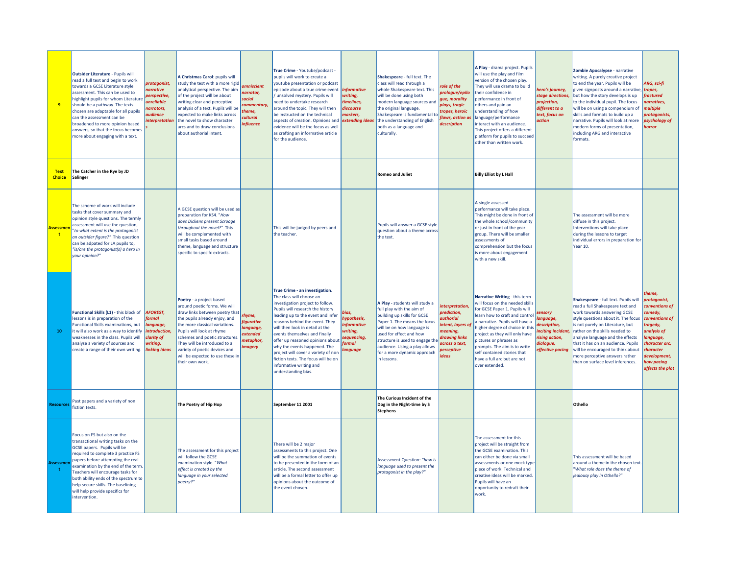| 9                               | <b>Outsider Literature - Pupils will</b><br>read a full text and begin to work<br>towards a GCSE Literature style<br>assessment. This can be used to<br>highlight pupils for whom Literature<br>should be a pathway. The texts<br>chosen are adaptable for all pupils<br>can the assessment can be<br>broadened to more opinion based<br>answers, so that the focus becomes<br>more about engaging with a text. | protagonist,<br><i>arrative</i><br>perspective,<br><b>inreliable</b><br>arrotors,<br><b>udience</b><br><i><b>Interpretation</b></i> | A Christmas Carol: pupils will<br>study the text with a more rigid<br>analytical perspective. The aim<br>of the project will be about<br>writing clear and perceptive<br>analysis of a text. Pupils will be<br>expected to make links across<br>the novel to show character<br>arcs and to draw conclusions<br>about authorial intent.               | mniscient<br>arrator,<br>ocial<br>ommentary,<br>heme,<br>ultural<br><b>ofluence</b> | True Crime - Youtube/podcast -<br>pupils will work to create a<br>youtube presentation or podcast<br>episode about a true crime event<br>unsolved mystery. Pupils will<br>need to undertake research<br>around the topic. They will then<br>be instructed on the technical<br>aspects of creation. Opinions and<br>evidence will be the focus as well<br>as crafting an informative article<br>for the audience.                                                                  | informative<br>vriting,<br>imelines,<br>liscourse<br>narkers,<br>extending ideas       | Shakespeare - full text. The<br>class will read through a<br>whole Shakespeare text. This<br>will be done using both<br>modern language sources and<br>the original language.<br>Shakespeare is fundamental to<br>the understanding of English<br>both as a language and<br>culturally.               | ole of the<br>rologue/epilo<br>gue, morality<br><b>olays, tragic</b><br>tropes, heroic<br>laws, action as<br>description                          | A Play - drama project. Pupils<br>will use the play and film<br>version of the chosen play.<br>They will use drama to build<br>their confidence in<br>performance in front of<br>others and gain an<br>understanding of how<br>language/performance<br>interact with an audience.<br>This project offers a different<br>platform for pupils to succeed<br>other than written work.    | hero's journey,<br>stage directions,<br>projection,<br>different to a<br>text, focus on<br><i>action</i> | Zombie Apocalypse - narrative<br>writing. A purely creative project<br>to end the year. Pupils will be<br>given signposts around a narrative, tropes,<br>but how the story develops is up<br>to the individual pupil. The focus<br>will be on using a compendium of<br>skills and formats to build up a<br>narrative. Pupils will look at more<br>modern forms of presentation,<br>including ARG and interactive<br>formats. | ARG, sci-fi<br>fractured<br>narratives,<br>multiple<br>protagonists,<br>psychology of<br>horror                                                                                                |
|---------------------------------|-----------------------------------------------------------------------------------------------------------------------------------------------------------------------------------------------------------------------------------------------------------------------------------------------------------------------------------------------------------------------------------------------------------------|-------------------------------------------------------------------------------------------------------------------------------------|------------------------------------------------------------------------------------------------------------------------------------------------------------------------------------------------------------------------------------------------------------------------------------------------------------------------------------------------------|-------------------------------------------------------------------------------------|-----------------------------------------------------------------------------------------------------------------------------------------------------------------------------------------------------------------------------------------------------------------------------------------------------------------------------------------------------------------------------------------------------------------------------------------------------------------------------------|----------------------------------------------------------------------------------------|-------------------------------------------------------------------------------------------------------------------------------------------------------------------------------------------------------------------------------------------------------------------------------------------------------|---------------------------------------------------------------------------------------------------------------------------------------------------|---------------------------------------------------------------------------------------------------------------------------------------------------------------------------------------------------------------------------------------------------------------------------------------------------------------------------------------------------------------------------------------|----------------------------------------------------------------------------------------------------------|------------------------------------------------------------------------------------------------------------------------------------------------------------------------------------------------------------------------------------------------------------------------------------------------------------------------------------------------------------------------------------------------------------------------------|------------------------------------------------------------------------------------------------------------------------------------------------------------------------------------------------|
| <b>Text</b><br><b>Choice</b>    | The Catcher in the Rye by JD<br>Salinger                                                                                                                                                                                                                                                                                                                                                                        |                                                                                                                                     |                                                                                                                                                                                                                                                                                                                                                      |                                                                                     |                                                                                                                                                                                                                                                                                                                                                                                                                                                                                   |                                                                                        | <b>Romeo and Juliet</b>                                                                                                                                                                                                                                                                               |                                                                                                                                                   | <b>Billy Elliot by L Hall</b>                                                                                                                                                                                                                                                                                                                                                         |                                                                                                          |                                                                                                                                                                                                                                                                                                                                                                                                                              |                                                                                                                                                                                                |
| <b>Assessme</b><br>$\mathbf{t}$ | The scheme of work will include<br>tasks that cover summary and<br>opinion style questions. The termly<br>assessment will use the question,<br>"to what extent is the protagonist<br>an outsider figure?" This question<br>can be adpated for LA pupils to,<br>"is/are the protagonist(s) a hero in<br>your opinion?"                                                                                           |                                                                                                                                     | A GCSE question will be used as<br>preparation for KS4. "How<br>does Dickens present Scrooge<br>throughout the novel?" This<br>will be complemented with<br>small tasks based around<br>theme, language and structure<br>specific to specifc extracts.                                                                                               |                                                                                     | This will be judged by peers and<br>the teacher.                                                                                                                                                                                                                                                                                                                                                                                                                                  |                                                                                        | Pupils will answer a GCSE style<br>question about a theme across<br>the text.                                                                                                                                                                                                                         |                                                                                                                                                   | A single assessed<br>performance will take place.<br>This might be done in front of<br>the whole school/community<br>or just in front of the year<br>group. There will be smaller<br>assessments of<br>comprehension but the focus<br>is more about engagement<br>with a new skill.                                                                                                   |                                                                                                          | The assessment will be more<br>diffuse in this project.<br>Interventions will take place<br>during the lessons to target<br>individual errors in preparation for<br>Year 10.                                                                                                                                                                                                                                                 |                                                                                                                                                                                                |
| 10                              | Functional Skills (L1) - this block of<br>lessons is in preparation of the<br>Functional Skills examinations, but<br>it will also work as a way to identify<br>weaknesses in the class. Pupils will<br>analyse a variety of sources and<br>create a range of their own writing.                                                                                                                                 | <b>AFOREST.</b><br><b>formal</b><br>anguage,<br>introduction,<br>clarity of<br>writing,<br><b>linking ideas</b>                     | Poetry - a project based<br>around poetic forms. We will<br>draw links between poetry that<br>the pupils already enjoy, and<br>the more classical variations.<br>Pupils will look at rhyme<br>schemes and poetic structures.<br>They will be introduced to a<br>variety of poetic devices and<br>will be expected to use these in<br>their own work. | hyme,<br><i>igurative</i><br>anguage,<br>xtended<br>netaphor,<br>nagery             | True Crime - an investigation.<br>The class will choose an<br>investigation project to follow.<br>Pupils will research the history<br>leading up to the event and infer<br>reasons behind the event. They<br>will then look in detail at the<br>events themselves and finally<br>offer up reasoned opinions about<br>why the events happened. The<br>project will cover a variety of non<br>fiction texts. The focus will be on<br>informative writing and<br>understanding bias. | ias.<br>hypothesis,<br><b>Informative</b><br>writing,<br>equencing,<br>ormal<br>nauaae | A Play - students will study a<br>full play with the aim of<br>building up skills for GCSE<br>Paper 1. The means the focus<br>will be on how language is<br>used for effect and how<br>structure is used to engage the<br>audience. Using a play allows<br>for a more dynamic approach<br>in lessons. | interpretation,<br>prediction,<br><b>uthorial</b><br>ntent, layers of<br>meaning,<br>drawing links<br>across a text,<br><b>perceptive</b><br>deas | Narrative Writing - this term<br>will focus on the needed skills<br>for GCSE Paper 1. Pupils will<br>learn how to craft and control<br>a narrative. Pupils will have a<br>higher degree of choice in this<br>project as they will only have<br>pictures or phrases as<br>prompts. The aim is to write<br>self contained stories that<br>have a full arc but are not<br>over extended. | ensory<br>anguage,<br>lescription,<br>nciting incident<br>ising action,<br>lialogue,<br>effective pacing | Shakespeare - full text. Pupils will<br>read a full Shakespeare text and<br>work towards answering GCSE<br>style questions about it. The focus<br>is not purely on Literature, but<br>rather on the skills needed to<br>analyse language and the effects<br>that it has on an audience. Pupils<br>will be encouraged to think about<br>more perceptive answers rather<br>than on surface level inferences.                   | theme.<br>protagonist,<br>conventions of<br>comedy,<br>conventions of<br>tragedy,<br>analysis of<br>language,<br>character arc,<br>character<br>development,<br>how pacing<br>affects the plot |
| <b>Resources</b>                | Past papers and a variety of non<br>fiction texts.                                                                                                                                                                                                                                                                                                                                                              |                                                                                                                                     | The Poetry of Hip Hop                                                                                                                                                                                                                                                                                                                                |                                                                                     | September 11 2001                                                                                                                                                                                                                                                                                                                                                                                                                                                                 |                                                                                        | The Curious Incident of the<br>Dog in the Night-time by S<br><b>Stephens</b>                                                                                                                                                                                                                          |                                                                                                                                                   |                                                                                                                                                                                                                                                                                                                                                                                       |                                                                                                          | Othello                                                                                                                                                                                                                                                                                                                                                                                                                      |                                                                                                                                                                                                |
| Assessme<br>t.                  | Focus on FS but also on the<br>transactional writing tasks on the<br>GCSE papers. Pupils will be<br>required to complete 3 practice FS<br>papers before attempting the real<br>examination by the end of the term.<br>Teachers will encourage tasks for<br>both ability ends of the spectrum to<br>help secure skills. The baselining<br>will help provide specifics for<br>intervention.                       |                                                                                                                                     | The assessment for this project<br>will follow the GCSE<br>examination style. "What<br>effect is created by the<br>language in your selected<br>poetry?"                                                                                                                                                                                             |                                                                                     | There will be 2 major<br>assessments to this project. One<br>will be the summation of events<br>to be presented in the form of an<br>article. The second assessment<br>will be a formal letter to offer up<br>opinions about the outcome of<br>the event chosen                                                                                                                                                                                                                   |                                                                                        | Assessment Question: "how is<br>language used to present the<br>protagonist in the play?"                                                                                                                                                                                                             |                                                                                                                                                   | The assessment for this<br>project will be straight from<br>the GCSE examination. This<br>can either be done via small<br>assessments or one mock type<br>piece of work. Technical and<br>creative ideas will be marked.<br>Pupils will have an<br>opportunity to redraft their<br>work.                                                                                              |                                                                                                          | This assessment will be based<br>around a theme in the chosen text.<br>"What role does the theme of<br>jealousy play in Othello?"                                                                                                                                                                                                                                                                                            |                                                                                                                                                                                                |